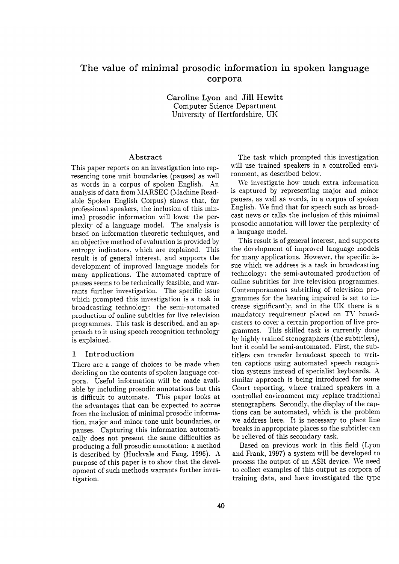## **The value of minimal prosodic information in spoken language corpora**

Caroline Lyon and Jill Hewitt Computer Science Department University of Hertfordshire, UK

#### Abstract

This paper reports on an investigation into representing tone unit boundaries (pauses) as well as words in a corpus of spoken English. An analysis of data from MARSEC (Machine Readable Spoken English Corpus) shows that, for professional speakers, the inclusion of this minimal prosodic information will lower the perplexity of a language model. The analysis is based on information theoretic techniques, and an objective method of evaluation is provided by entropy indicators, which are explained. This result is of general interest, and supports the development of improved language models for many applications. The automated capture of pauses seems to be technically feasible, and warrants further investigation. The specific issue which prompted this investigation is a task in broadcasting technology: the semi-automated production of online subtitles for live television programmes. This task is described, and an approach to it using speech recognition technology is explained.

### 1 Introduction

There are a range of choices to be made when deciding on the contents of spoken language corpora. Useful information will be made available by including prosodic annotations but this is difficult to automate. This paper looks at the advantages that can be expected to accrue from the inclusion of minimal prosodic information, major and minor tone unit boundaries, or pauses. Capturing this information automatically does not present the same difficulties as producing a full prosodic annotation: a method is described by (Huckvale and Fang, 1996). A purpose of this paper is to show that the development of such methods warrants further investigation.

The task which prompted this investigation will use trained speakers in a controlled environment, as described below.

We investigate how much extra information is captured by representing major and minor pauses, as well as words, in a corpus of spoken English. We find that for speech such as broadcast news or talks the inclusion of this minimal prosodic annotation will lower the perplexity of a language model.

This result is of general interest, and supports the development of improved language models for many applications. However, the specific issue which we address is a task in broadcasting technology: the semi-automated production of online subtitles for live television programmes. Contemporaneous subtitling of television programmes for the hearing impaired is set to increase significantly, and in the UK there is a mandatory requirement placed on TV broadcasters to cover a certain proportion of live programmes. This skilled task is currently done by highly trained stenographers (the subtitlers), but it could be semi-automated. First, the subtitlers can transfer broadcast speech to written captions using automated speech recognition systems instead of specialist keyboards. A similar approach is being introduced for some Court reporting, where trained speakers in a controlled environment may replace traditional stenographers. Secondly, the display of the captions can be automated, which is the problem we address here. It is necessary to place line breaks in appropriate places so the subtitler can be relieved of this secondary task.

Based on previous work in this field (Lyon and Frank, 1997) a system will be developed to process the output of an ASR device. \Ve need to collect examples of this output as corpora of training data, and have investigated the type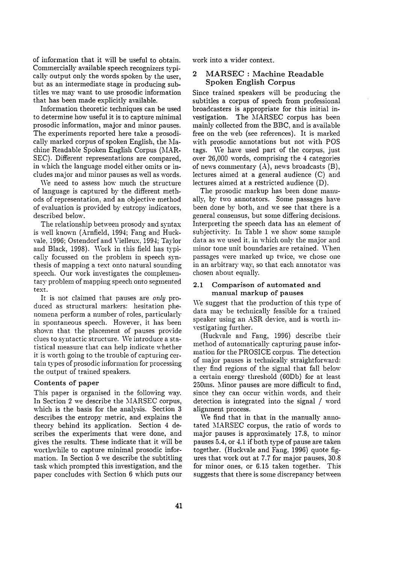of information that it will be useful to obtain. Commercially available speech recognizers typically output only the words spoken by the user, but as an intermediate stage in producing subtitles we may want to use prosodic information that has been made explicitly available.

Information theoretic techniques can be used to determine how useful it is to capture minimal prosodic information, major and minor pauses. The experiments reported here take a prosodically marked corpus of spoken English, the Machine Readable Spoken English Corpus (MAR-SEC). Different representations are compared, in which the language model either omits or includes major and minor pauses as well as words.

We need to assess how much the structure of language is captured by the different methods of representation, and an objective method of evaluation is provided by entropy indicators, described below.

The relationship between prosody and syntax is well known (Arnfield, 1994; Fang and Huckvale, 1996; Ostendorfand \'ielleux, 1994; Taylor and Black, 1998). Work in this field has typically focussed on the problem in speech synthesis of mapping a text onto natural sounding speech. Our work investigates the complementary problem of mapping speech onto segmented text.

It is not claimed that pauses are *only* produced as structural markers: hesitation phenomena perform a number of roles, particularly in spontaneous speech. However, it has been shown that the placement of pauses provide clues to syntactic structure. We introduce a statistical measure that can help indicate whether it is worth going to the trouble of capturing certain types of prosodic information for processing the output of trained speakers.

#### Contents of paper

This paper is organised in the following *way.*  In Section 2 we describe the MARSEC corpus, which is the basis for the analysis. Section 3 describes the entropy metric, and explains the theory behind its application. Section 4 describes the experiments that were done, and gives the results. These indicate that it will be worthwhile to capture minimal prosodic information. In Section 5 we describe the subtitling task which prompted this investigation, and the paper concludes with Section 6 which puts our work into a wider context.

## 2 MARSEC : Machine Readable **Spoken English Corpus**

Since trained speakers will be producing the subtitles a corpus of speech from professional broadcasters is appropriate for this initial investigation. The MARSEC corpus has been mainly collected from the BBC, and is available free on the web (see references). It is marked with prosodic annotations but not with POS tags. \Ve have used part of the corpus, just over 26,000 words, comprising the 4 categories of news commentary  $(A)$ , news broadcasts  $(B)$ , lectures aimed at a general audience (C) and lectures aimed at a restricted audience (D).

The prosodic markup has been done manually, by two annotators. Some passages have been done by both, and we see that there is a general consensus, but some differing decisions. Interpreting the speech data has an element of subjectivity. In Table 1 we show some sample data as we used it, in which only the major and minor tone unit boundaries are retained. \Vhen passages were marked up twice, we chose one in an arbitrary way, so that each annotator was chosen about equally.

#### 2.1 Comparison of automated and manual markup of pauses

We suggest that the production of this type of data may be technically feasible for a trained speaker using an ASR device, and is worth investigating further.

(Huckvale and Fang, 1996) describe their method of automatically capturing pause information for the PROSICE corpus. The detection of major pauses is technically straightforward: they find regions of the signal that fall below a certain energy threshold (60Db) for at least 250ms. Minor pauses are more difficult to find, since they can occur within words, and their detection is integrated into the signal / word alignment process.

We find that in that in the manually annotated MARSEC corpus, the ratio of words to major pauses is approximately 17.8, to minor pauses 5.4, or 4.1 if both type of pause are taken together. (Huckvale and Fang, 1996) quote figures that work out at 7.7 for major pauses, 30.8 for minor ones, or 6.15 taken together. This suggests that there is some discrepancy between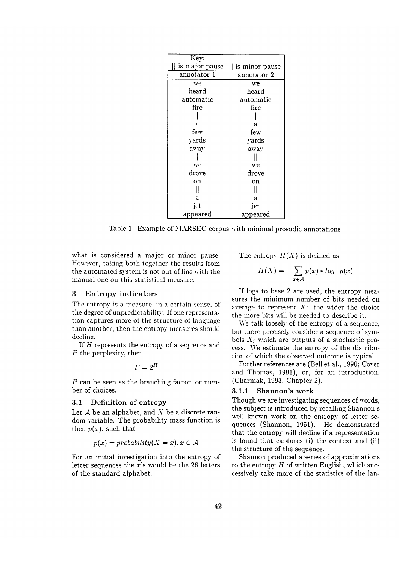| Key:           |                |
|----------------|----------------|
| is major pause | is minor pause |
| annotator 1    | annotator 2    |
| we             | we             |
| $\rm {heard}$  | heard          |
| automatic      | automatic      |
| fire           | fire           |
|                |                |
| a              | а              |
| few            | few            |
| yards          | yards          |
| away           | away           |
|                |                |
| we             | we             |
| drove          | drove          |
| on             | on             |
|                |                |
| a              | a              |
| jet            | jet            |
| appeared       | appeared       |

Table 1: Example of MARSEC corpus with minimal prosodic annotations

what is considered a major or minor pause. However, taking both together the resuks from the automated system is not out of line with the manual one on this statistical measure.

#### **3** Entropy indicators

The entropy is a measure, in a certain sense, of the degree of unpredictability. If one representation captures more of the structure of language than another, then the entropy measures should decline.

If  $H$  represents the entropy of a sequence and P the perplexity, then

$$
P=2^H
$$

P can be seen as the branching factor, or number of choices.

#### 3.1 Definition of entropy

Let  $A$  be an alphabet, and  $X$  be a discrete random variable. The probability mass function is then  $p(x)$ , such that

$$
p(x) = probability(X = x), x \in \mathcal{A}
$$

For an initial investigation into the entropy of letter sequences the  $x$ 's would be the 26 letters of the standard alphabet.

The entropy  $H(X)$  is defined as

$$
H(X) = -\sum_{x \in \mathcal{A}} p(x) * log \ p(x)
$$

If logs to base 2 are used, the entropy measures the minimum number of bits needed on average to represent  $X$ : the wider the choice the more bits will be needed to describe it.

We talk loosely of the entropy of a sequence, but more precisely consider a sequence of symbols  $X_i$  which are outputs of a stochastic process. We estimate the entropy of the distribution of which the observed outcome is typical.

Further references are (Bell et al., 1990; Cover and Thomas, 1991), or, for an introduction, (Charniak, 1993, Chapter 2).

#### 3.1.1 Shannon's work

Though we are investigating sequences of words, the subject is introduced by recalling Shannon's well known work on the entropy of letter sequences (Shannon, 1951). He demonstrated that the entropy will decline if a representation is found that captures (i) the context and (ii) the structure of the sequence.

Shannon produced a series of approximations to the entropy  $H$  of written English, which successively take more of the statistics of the lan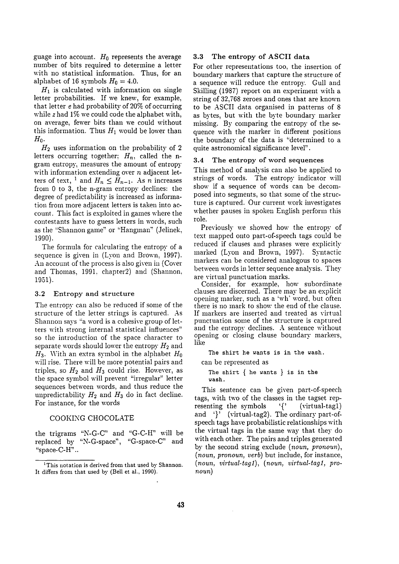guage into account.  $H_0$  represents the average number of bits required to determine a letter with no statistical information. Thus, for an alphabet of 16 symbols  $H_0 = 4.0$ .

 $H_1$  is calculated with information on single letter probabilities. If we knew, for example, that letter  $e$  had probability of 20% of occurring while  $z$  had  $1\%$  we could code the alphabet with, on average, fewer bits than we could without this information. Thus  $H_1$  would be lower than  $H_0$ .

 $H_2$  uses information on the probability of 2 letters occurring together;  $H_n$ , called the ngram entropy, measures the amount of entropy with information extending over  $n$  adjacent letters of text, <sup>1</sup> and  $H_n \n\t\leq H_{n-1}$ . As *n* increases from 0 to 3, the n-gram entropy declines: the degree of predictability is increased as information from more adjacent letters is taken into account. This fact is exploited in games where the contestants have to guess letters in words, such as the "Shannon game" or "Hangman" (Jelinek, 1990).

The formula for calculating the entropy of a sequence is given in (Lyon and Brown, 1997). An account of the process is also given in (Cover and Thomas, 1991, chapter2) and (Shannon, 1951).

#### **3.2** Entropy and structure

The entropy can also be reduced if some of the structure of the letter strings is captured. As Shannon says "a word is a cohesive group of letters with strong internal statistical influences" so the introduction of the space character to separate words should lower the entropy  $H_2$  and  $H_3$ . With an extra symbol in the alphabet  $H_0$ will rise. There will be more potential pairs and triples, so  $H_2$  and  $H_3$  could rise. However, as the space symbol will prevent "irregular" letter sequences between words, and thus reduce the unpredictability  $H_2$  and  $H_3$  do in fact decline. For instance, for the words

#### COOKING CHOCOLATE

the trigrams "N-G-C" and "G-C-H" will be replaced by "N-G-space", "G-space-C" and "space-C-H'..

#### 3.3 The entropy of ASCII data

For other representations too, the insertion of boundary markers that capture the structure of a sequence will reduce the entropy. Gull and Skilling (1987) report on an experiment with a string of 32,768 zeroes and ones that are known to be ASCII data organised in patterns of 8 as bytes, but with the byte boundary marker missing. By comparing the entropy of the sequence with the marker in different positions the boundary of the data is "determined to a quite astronomical significance level".

#### 3.4 The entropy of word sequences

This method of analysis can also be applied to strings of words. The entropy indicator will show if a sequence of words can be decomposed into segments, so that some of the structure is captured. Our current work investigates whether pauses in spoken English perform this role.

Previously we showed how the entropy of text mapped onto part-of-speech tags could be reduced if clauses and phrases were explicitly marked (Lyon and Brown, 1997). Syntactic markers can be considered analogous to spaces between words in letter sequence analysis. They are virtual punctuation marks.

Consider, for example, how subordinate clauses are discerned. There may be an explicit opening marker, such as a 'wh' word, but often there is no mark to show the end of the clause. If markers are inserted and treated as virtual punctuation some of the structure is captured and the entropy declines. A sentence without opening or closing clause boundary markers, like

The shirt he wants is in the wash.

can be represented as

The shirt  $\{$  he wants  $\}$  is in the wash.

This sentence can be given part-of-speech tags, *with* two of the classes in the tagset representing the symbols '{' (virtual-tagl) and '}' (virtual-tag2). The ordinary part-ofspeech tags have probabilistic relationships with the virtual tags in the same way that they do with each other. The pairs and triples generated by the second string exclude *(noun, pronoun), (noun, pronoun, verb)* but include, for instance, *(noun, virtual-tag1), (noun, virtual-tag1, pronoun)* 

<sup>&</sup>lt;sup>1</sup>This notation is derived from that used by Shannon. It differs from that used by (Bell et al., 1990).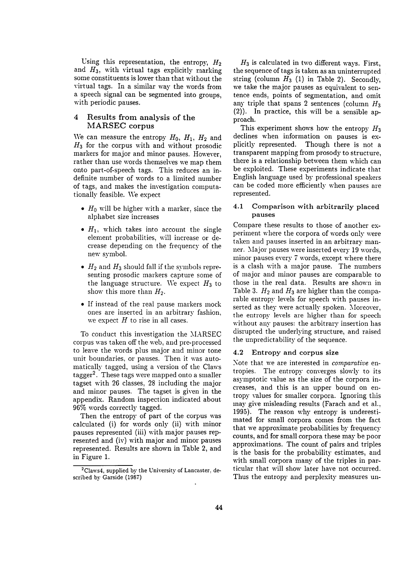Using this representation, the entropy,  $H_2$ and  $H_3$ , with virtual tags explicitly marking some constituents is lower than that without the virtual tags. In a similar way the words from a speech signal can be segmented into groups, with periodic pauses.

## 4 Results from analysis of the MARSEC corpus

We can measure the entropy  $H_0$ ,  $H_1$ ,  $H_2$  and  $H_3$  for the corpus with and without prosodic markers for major and minor pauses. However, rather than use words themselves we map them onto part-of-speech tags. This reduces an indefinite number of words to a limited number of tags, and makes the investigation computationally feasible. We expect

- $H_0$  will be higher with a marker, since the alphabet size increases
- $H_1$ , which takes into account the single element probabilities, will increase or decrease depending on the frequency of the new symbol.
- $H_2$  and  $H_3$  should fall if the symbols representing prosodic markers capture some of the language structure. We expect  $H_3$  to show this more than  $H_2$ .
- If instead of the real pause markers mock ones are inserted in an arbitrary fashion. we expect  $H$  to rise in all cases.

To conduct this investigation the MARSEC corpus was taken off the web; and pre-processed to leave the words plus major and minor tone unit boundaries, or pauses. Then it was automatically tagged, using a version of the Claws tagger<sup>2</sup>. These tags were mapped onto a smaller tagset with 26 classes, 28 including the major and minor pauses. The tagset is given in the appendix. Random inspection indicated about 96% words correctly tagged.

Then the entropy of part of the corpus was calculated (i) for words only (ii) with minor pauses represented (iii) with major pauses represented and (iv) with major and minor pauses represented. Results are shown in Table 2, and in Figure 1.

 $H_3$  is calculated in two different ways. First, the sequence of tags is taken as an uninterrupted string (column  $H_3$  (1) in Table 2). Secondly, we take the major pauses as equivalent to sentence ends, points of segmentation, and omit any triple that spans 2 sentences (column  $H_3$ ) (2)). In practice, this will be a sensible approach.

This experiment shows how the entropy  $H_3$ declines when information on pauses is explicitly represented. Though there is not a transparent mapping from prosody to structure, there is a relationship between them which can be exploited. These experiments indicate that English language used by professional speakers can be coded more efficiently when pauses are represented.

## 4.1 Comparison with arbitrarily placed pauses

Compare these results to those of another experiment where the corpora of words only were taken and pauses inserted in an arbitrary manner. Major pauses were inserted every 19 words, minor pauses every 7 words, except where there is a clash with a major pause. The numbers of major and minor pauses are comparable to those in the real data. Results are shown in Table 3.  $H_2$  and  $H_3$  are higher than the comparable entropy levels for speech with pauses inserted as they were actually spoken. Moreover, the entropy levels are higher than for speech without any pauses: the arbitrary insertion has disrupted the underlying structure, and raised the unpredictability of the sequence.

## 4.2 Entropy and corpus size

Note that we are interested in *comparative* entropies. The entropy converges slowly to its asymptotic value as the size of the corpora increases, and this is an upper bound on entropy values for smaller corpora. Ignoring this may give misleading results (Farach and et al., 1995). The reason *why* entropy is underestimated for small corpora comes from the fact that we approximate probabilities by frequency counts, and for small corpora these may be poor approximations. The count of pairs and triples is the basis for the probability estimates, and with small corpora many of the triples in particular that will show later have not occurred. Thus the entropy and perplexity measures un-

<sup>&</sup>lt;sup>2</sup>Claws4, supplied by the University of Lancaster, described by Garside (1987)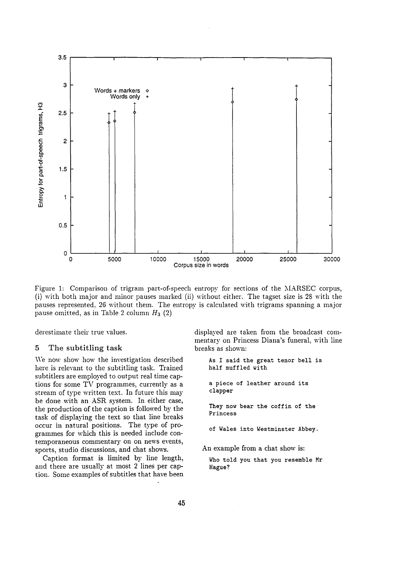

Figure 1: Comparison of trigram part-of-speech entropy for sections of the MARSEC corpus, (i) with both major and minor pauses marked (ii) without either. The tagset size is 28 with the pauses represented, 26 without them. The entropy is calculated with trigrams spanning a major pause omitted, as in Table 2 column  $H_3$  (2)

derestimate their true values.

#### 5 The subtitling task

We now show how the investigation described here is relevant to the subtitling task. Trained subtitlers are employed to output real time captions for some TV programmes, currently as a stream of type written text. In future this may be done with an ASR system. In either case, the production of the caption is followed by the task of displaying the text so that line breaks occur in natural positions. The type of programmes for which this is needed include contemporaneous commentary on on news events, sports, studio discussions, and chat shows.

Caption format is limited by line length, and there are usually at most 2 lines per caption. Some examples of subtitles that have been displayed are taken from the broadcast commentary on Princess Diana's funeral, with line breaks as shown:

As I said the great tenor bell is half muffled with a piece of leather around its clapper They now bear the coffin of the Princess of Wales into Westminster Abbey. An example from a chat show is:

Who told you that you resemble Mr Hague?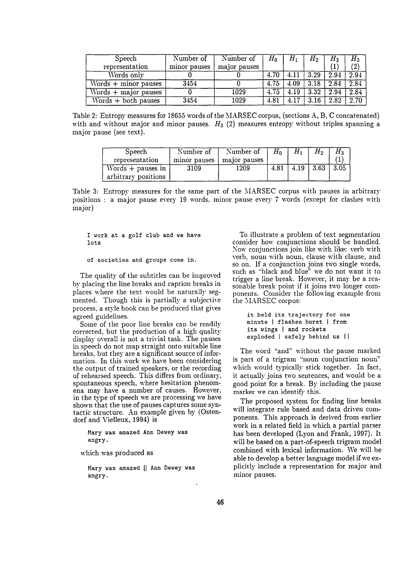| Speech                                   | Number of    | Number of    | $H_0$ | $H_{1}$ | $H_2$              | $H_3$ | $H_{\rm 3}$       |
|------------------------------------------|--------------|--------------|-------|---------|--------------------|-------|-------------------|
| representation                           | minor pauses | major pauses |       |         |                    |       | $\left( 2\right)$ |
| Words only                               |              |              | 4.70  | 4.11    | $\vert 3.29 \vert$ | 2.94  | 2.94              |
| $\overline{\text{Words}}$ + minor pauses | 3454         |              | 4.75  | 4.09    | 3.18               | 2.84  | 2.84              |
| $Words + major pauses$                   |              | 1029         | 4.75  | 4.19    | 3.32               | 2.94  | 2.84              |
| $\overline{\text{Words}}$ + both pauses  | 3454         | 1029         | 4.81  | 4.17    | 3.16               | 2.82  | 2.70              |

Table 2: Entropy measures for 18655 words of the MARSEC corpus, (sections A, B, C concatenated) with and without major and minor pauses.  $H_3$  (2) measures entropy without triples spanning a major pause (see text).

| Speech              | Number of    | Number of    | $H_0$ | н.   | H <sub>2</sub> | Hз.  |
|---------------------|--------------|--------------|-------|------|----------------|------|
| representation      | minor pauses | major pauses |       |      |                |      |
| Words $+$ pauses in | 3109         | 1209         | 4.81  | 4.19 | -3.63          | 3.05 |
| arbitrary positions |              |              |       |      |                |      |

Table 3: Entropy measures for the same part of the MARSEC corpus with pauses in arbitrary positions : a major pause every 19 words, minor pause every 7 words (except for clashes with major)

I work at a golf club and we have lots

of societies and groups come in.

The quality of the subtitles can be improved by placing the line breaks and caption breaks in places where the text would be naturally segmented. Though this is partially a subjective process, a style book can be produced that gives agreed guidelines.

Some of the poor line breaks can be readily corrected, but the production of a high quality display overall is not a trivial task. The pauses in speech do not map straight onto suitable line breaks, but they are a significant source of information. In this work we have been considering the output of trained speakers, or the recording of rehearsed speech. This differs from ordinary, spontaneous speech, where hesitation phenomena may have a number of causes. However, in the type of speech we are processing we have shown that the use of pauses captures some syntactic structure. An example given by (Ostendorf and Vielleux, 1994) is

Mary was amazed Ann **Dewey was**  angry.

which was produced as

**Mary was amazed** [[ Ann **Dewey was**  angry.

To illustrate a problem of text segmentation consider how conjunctions should be handled. Now conjunctions join like with like: verb with verb, noun with noun, clause with clause, and so on. If a conjunction joins two single words, such as "black and blue" we do not want it to trigger a line break. However, it may be a reasonable break point if it joins two longer components. Consider the following example from the MARSEC corpus:

it held its trajectory for one minute | flashes burst | from its wings I and rockets exploded | safely behind us | |

The word "and" without the pause marked is part of a trigram "noun conjunction noun" which would typically stick together. In fact, it actually joins two sentences, and would be a good point for a break. By including the pause marker we can identify this.

The proposed system for finding line breaks will integrate rule based and data driven components. This approach is derived from earlier work in a related field in which a partial parser has been developed (Lyon and Frank, 1997). It will be based on a part-of-speech trigram model combined with lexical information. We will be able to develop a better language model if we explicitly include a representation for major and minor pauses.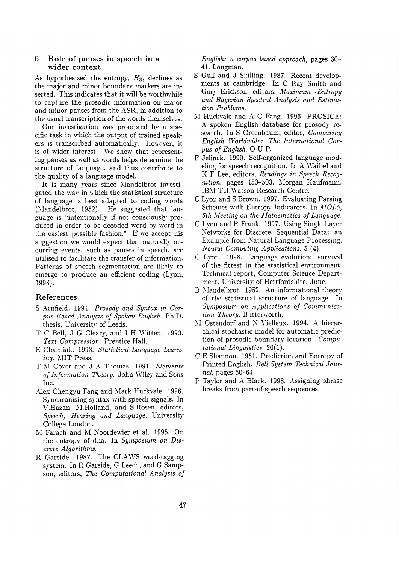## 6 Role of pauses in speech in a wider context

As hypothesized the entropy,  $H_3$ , declines as the major and minor boundary markers are inserted. This indicates that it will be worthwhile to capture the prosodic information on major and minor pauses from the ASR, in addition to the usual transcription of the words themselves.

Our investigation was prompted by a specific task in which the output of trained speakers is transcribed automatically. However, it is of wider interest. We show that representing pauses as well as words helps determine the structure of language, and thus contribute to the quality of a language model.

It is many years since Mandelbrot investigated the way in which the statistical structure of language is best adapted to coding words (Mandelbrot, 1952). He suggested that language is "intentionally if not consciously produced in order to be decoded word by word in the easiest possible fashion." If we accept his suggestion we would expect that naturally occurring events, such as pauses in speech, are utilised to facilitate the transfer of information. Patterns of speech segmentation are likely to emerge to produce an efficient coding (Lyon; 1998).

## References

- S Arnfield. 1994. Prosody and Syntax in Cor*pus Based Analysis of Spoken English.* Ph.D. thesis, University of Leeds.
- T C Bell, J G Cleary, and I H \Vitten. 1990. *Text Compression.* Prentice Hall.
- E Charniak. 1993. Statistical Language Learn*ing.* MIT Press.
- T hi Cover and J A Thomas. 1991. *Elements of Information Theory.* John Wiley and Sons Inc.
- Alex Chengyu Fang and Mark Huckvale. 1996. Synchronising syntax with speech signals. In V.Hazan, M.Holland, and S.Rosen, editors, *Speech, Hearing and Language.* University College London.
- M Farach and M Noordewier et al. 1995. On the entropy of dna. In *Symposium on Discrete Algorithms.*
- R Garside. 1987. The CLAWS word-tagging system. In R Garside, G Leech, and G Sampson, editors, *The Computational Analysis of*

*English: a corpus based approach,* pages 30- 41. Longman.

- S Gull and J Skilling. 1987. Recent developments at cambridge. In C Ray Smith and Gary Erickson, editors, *Maximum -Entropy and Bayesian Spectral Analysis and Estimation Problems.*
- M Huckvale and A C Fang. 1996. PROSICE: A spoken English database for prosody research. In S Greenbaum, editor, *Comparing English Worldwide: The International Cor* $pus$  of English. O U P.
- F Jelinek. 1990. Self-organized language modeling for speech recognition. In A Waibel and K F Lee, editors, *Readings in Speech Recognition,* pages 450-503. Morgan Kaufmann. IBM T.J.Watson Research Centre.
- C Lyon and S Brown. 1997. Evaluating Parsing Schemes with Entropy Indicators. In *MOL5, 5th Meeting on the Mathematics of Language.*
- C Lyon and R Frank. 1997. Using Single Layer Networks for Discrete, Sequential Data: an Example from Natural Language Processing. *Neural Computing Applications,* 5 (4).
- C Lyon. 1998. Language evolution: survival of the fittest in the statistical enviromnent. Technical report, Computer Science Department, University of Hertfordshire, June.
- B Mandelbrot. 1952. An informational theory of the statistical structure of language. In *Symposium on Applications of Communication Theory.* Butterworth.
- M Ostendorf and N Vielleux. 1994. A hierarchical stochastic model for automatic prediction of prosodic boundary location. *Computational Linguistics,* 20(1).
- C E Shannon. 1951. Prediction and Entropy of Printed English. *Bell System Technical Journal,* pages 50-64.
- P Taylor and A Black. 1998. Assigning phrase breaks from part-of-speech sequences.